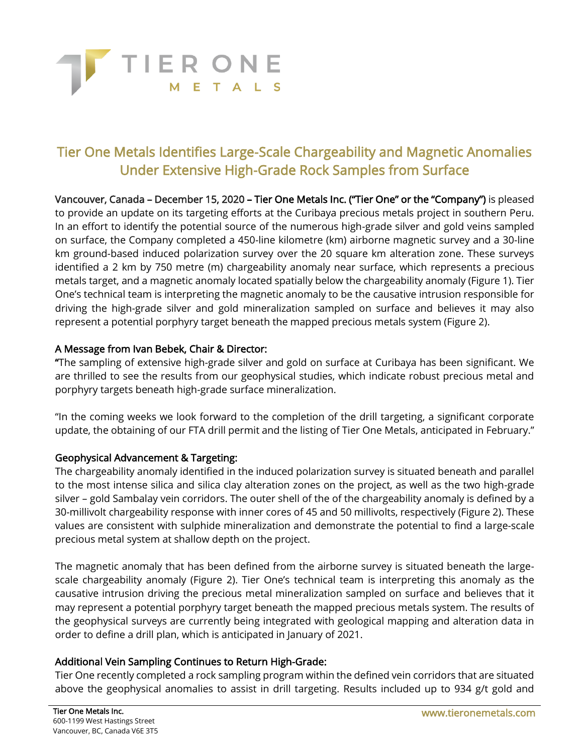

# Tier One Metals Identifies Large-Scale Chargeability and Magnetic Anomalies Under Extensive High-Grade Rock Samples from Surface

Vancouver, Canada – December 15, 2020 – Tier One Metals Inc. ("Tier One" or the "Company") is pleased to provide an update on its targeting efforts at the Curibaya precious metals project in southern Peru. In an effort to identify the potential source of the numerous high-grade silver and gold veins sampled on surface, the Company completed a 450-line kilometre (km) airborne magnetic survey and a 30-line km ground-based induced polarization survey over the 20 square km alteration zone. These surveys identified a 2 km by 750 metre (m) chargeability anomaly near surface, which represents a precious metals target, and a magnetic anomaly located spatially below the chargeability anomaly (Figure 1). Tier One's technical team is interpreting the magnetic anomaly to be the causative intrusion responsible for driving the high-grade silver and gold mineralization sampled on surface and believes it may also represent a potential porphyry target beneath the mapped precious metals system (Figure 2).

# A Message from Ivan Bebek, Chair & Director:

"The sampling of extensive high-grade silver and gold on surface at Curibaya has been significant. We are thrilled to see the results from our geophysical studies, which indicate robust precious metal and porphyry targets beneath high-grade surface mineralization.

"In the coming weeks we look forward to the completion of the drill targeting, a significant corporate update, the obtaining of our FTA drill permit and the listing of Tier One Metals, anticipated in February."

# Geophysical Advancement & Targeting:

The chargeability anomaly identified in the induced polarization survey is situated beneath and parallel to the most intense silica and silica clay alteration zones on the project, as well as the two high-grade silver – gold Sambalay vein corridors. The outer shell of the of the chargeability anomaly is defined by a 30-millivolt chargeability response with inner cores of 45 and 50 millivolts, respectively (Figure 2). These values are consistent with sulphide mineralization and demonstrate the potential to find a large-scale precious metal system at shallow depth on the project.

The magnetic anomaly that has been defined from the airborne survey is situated beneath the largescale chargeability anomaly (Figure 2). Tier One's technical team is interpreting this anomaly as the causative intrusion driving the precious metal mineralization sampled on surface and believes that it may represent a potential porphyry target beneath the mapped precious metals system. The results of the geophysical surveys are currently being integrated with geological mapping and alteration data in order to define a drill plan, which is anticipated in January of 2021.

## Additional Vein Sampling Continues to Return High-Grade:

Tier One recently completed a rock sampling program within the defined vein corridors that are situated above the geophysical anomalies to assist in drill targeting. Results included up to 934 g/t gold and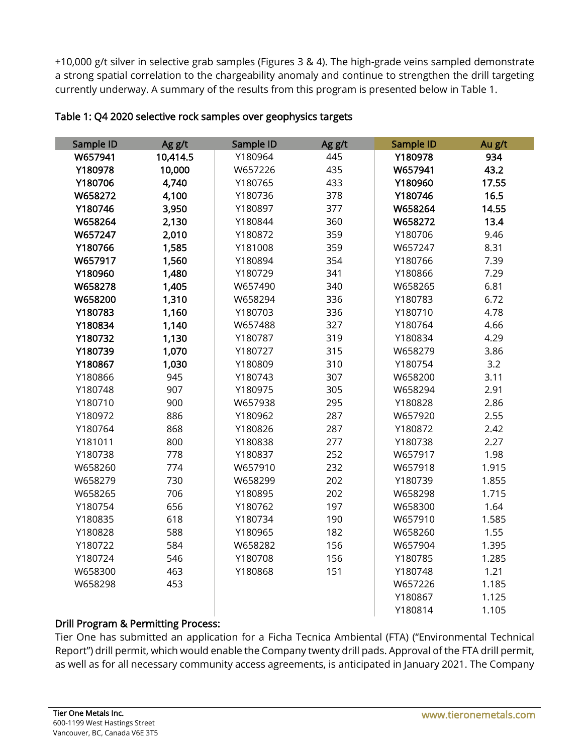+10,000 g/t silver in selective grab samples (Figures 3 & 4). The high-grade veins sampled demonstrate a strong spatial correlation to the chargeability anomaly and continue to strengthen the drill targeting currently underway. A summary of the results from this program is presented below in Table 1.

| Sample ID | Ag g/t   | Sample ID | Ag g/t | Sample ID | Au g/t |
|-----------|----------|-----------|--------|-----------|--------|
| W657941   | 10,414.5 | Y180964   | 445    | Y180978   | 934    |
| Y180978   | 10,000   | W657226   | 435    | W657941   | 43.2   |
| Y180706   | 4,740    | Y180765   | 433    | Y180960   | 17.55  |
| W658272   | 4,100    | Y180736   | 378    | Y180746   | 16.5   |
| Y180746   | 3,950    | Y180897   | 377    | W658264   | 14.55  |
| W658264   | 2,130    | Y180844   | 360    | W658272   | 13.4   |
| W657247   | 2,010    | Y180872   | 359    | Y180706   | 9.46   |
| Y180766   | 1,585    | Y181008   | 359    | W657247   | 8.31   |
| W657917   | 1,560    | Y180894   | 354    | Y180766   | 7.39   |
| Y180960   | 1,480    | Y180729   | 341    | Y180866   | 7.29   |
| W658278   | 1,405    | W657490   | 340    | W658265   | 6.81   |
| W658200   | 1,310    | W658294   | 336    | Y180783   | 6.72   |
| Y180783   | 1,160    | Y180703   | 336    | Y180710   | 4.78   |
| Y180834   | 1,140    | W657488   | 327    | Y180764   | 4.66   |
| Y180732   | 1,130    | Y180787   | 319    | Y180834   | 4.29   |
| Y180739   | 1,070    | Y180727   | 315    | W658279   | 3.86   |
| Y180867   | 1,030    | Y180809   | 310    | Y180754   | 3.2    |
| Y180866   | 945      | Y180743   | 307    | W658200   | 3.11   |
| Y180748   | 907      | Y180975   | 305    | W658294   | 2.91   |
| Y180710   | 900      | W657938   | 295    | Y180828   | 2.86   |
| Y180972   | 886      | Y180962   | 287    | W657920   | 2.55   |
| Y180764   | 868      | Y180826   | 287    | Y180872   | 2.42   |
| Y181011   | 800      | Y180838   | 277    | Y180738   | 2.27   |
| Y180738   | 778      | Y180837   | 252    | W657917   | 1.98   |
| W658260   | 774      | W657910   | 232    | W657918   | 1.915  |
| W658279   | 730      | W658299   | 202    | Y180739   | 1.855  |
| W658265   | 706      | Y180895   | 202    | W658298   | 1.715  |
| Y180754   | 656      | Y180762   | 197    | W658300   | 1.64   |
| Y180835   | 618      | Y180734   | 190    | W657910   | 1.585  |
| Y180828   | 588      | Y180965   | 182    | W658260   | 1.55   |
| Y180722   | 584      | W658282   | 156    | W657904   | 1.395  |
| Y180724   | 546      | Y180708   | 156    | Y180785   | 1.285  |
| W658300   | 463      | Y180868   | 151    | Y180748   | 1.21   |
| W658298   | 453      |           |        | W657226   | 1.185  |
|           |          |           |        | Y180867   | 1.125  |
|           |          |           |        | Y180814   | 1.105  |

### Table 1: Q4 2020 selective rock samples over geophysics targets

## Drill Program & Permitting Process:

Tier One has submitted an application for a Ficha Tecnica Ambiental (FTA) ("Environmental Technical Report") drill permit, which would enable the Company twenty drill pads. Approval of the FTA drill permit, as well as for all necessary community access agreements, is anticipated in January 2021. The Company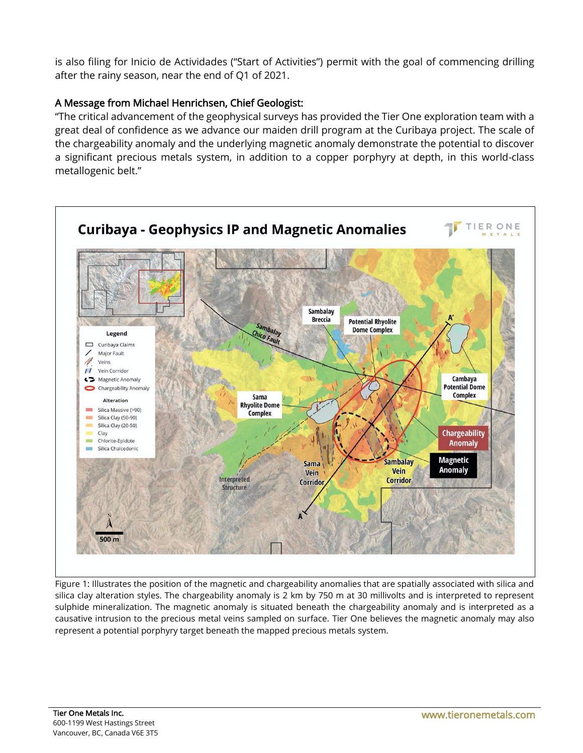is also filing for Inicio de Actividades ("Start of Activities") permit with the goal of commencing drilling after the rainy season, near the end of Q1 of 2021.

# A Message from Michael Henrichsen, Chief Geologist:

"The critical advancement of the geophysical surveys has provided the Tier One exploration team with a great deal of confidence as we advance our maiden drill program at the Curibaya project. The scale of the chargeability anomaly and the underlying magnetic anomaly demonstrate the potential to discover a significant precious metals system, in addition to a copper porphyry at depth, in this world-class metallogenic belt."



Figure 1: Illustrates the position of the magnetic and chargeability anomalies that are spatially associated with silica and silica clay alteration styles. The chargeability anomaly is 2 km by 750 m at 30 millivolts and is interpreted to represent sulphide mineralization. The magnetic anomaly is situated beneath the chargeability anomaly and is interpreted as a causative intrusion to the precious metal veins sampled on surface. Tier One believes the magnetic anomaly may also represent a potential porphyry target beneath the mapped precious metals system.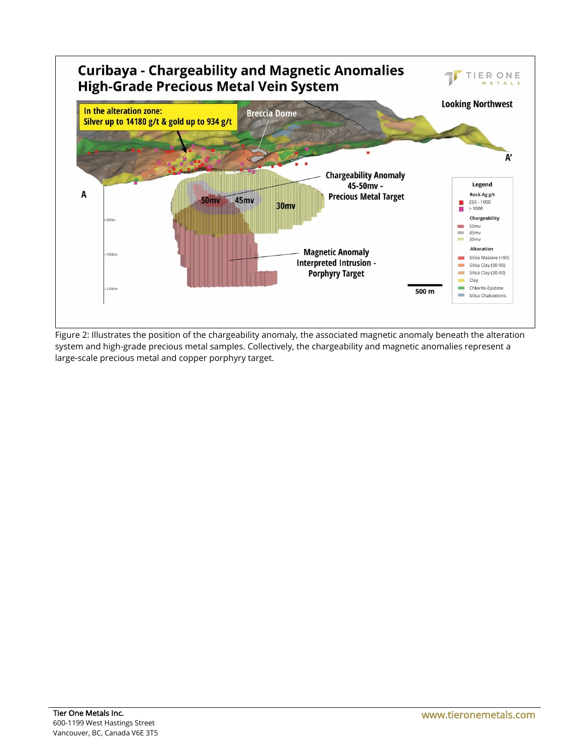

Figure 2: Illustrates the position of the chargeability anomaly, the associated magnetic anomaly beneath the alteration system and high-grade precious metal samples. Collectively, the chargeability and magnetic anomalies represent a large-scale precious metal and copper porphyry target.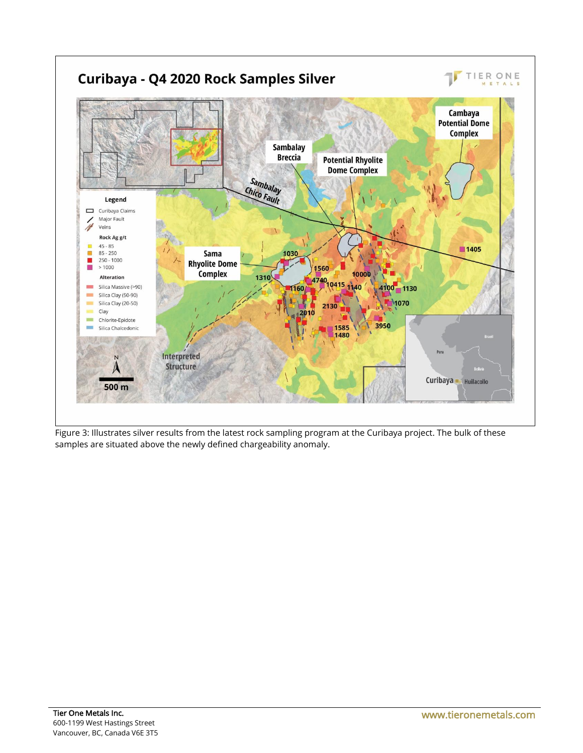

samples are situated above the newly defined chargeability anomaly.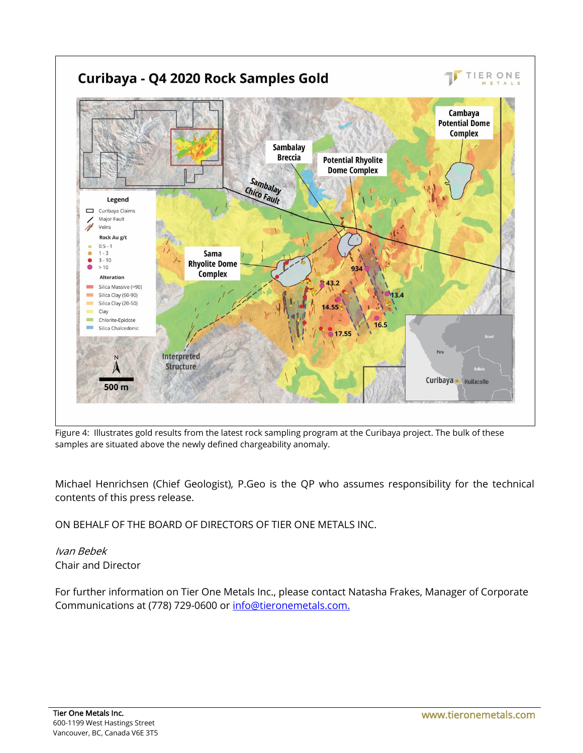

Figure 4: Illustrates gold results from the latest rock sampling program at the Curibaya project. The bulk of these samples are situated above the newly defined chargeability anomaly.

Michael Henrichsen (Chief Geologist), P.Geo is the QP who assumes responsibility for the technical contents of this press release.

ON BEHALF OF THE BOARD OF DIRECTORS OF TIER ONE METALS INC.

Ivan Bebek Chair and Director

For further information on Tier One Metals Inc., please contact Natasha Frakes, Manager of Corporate Communications at (778) 729-0600 or [info@tieronemetals.com.](mailto:info@tieronemetals.com)